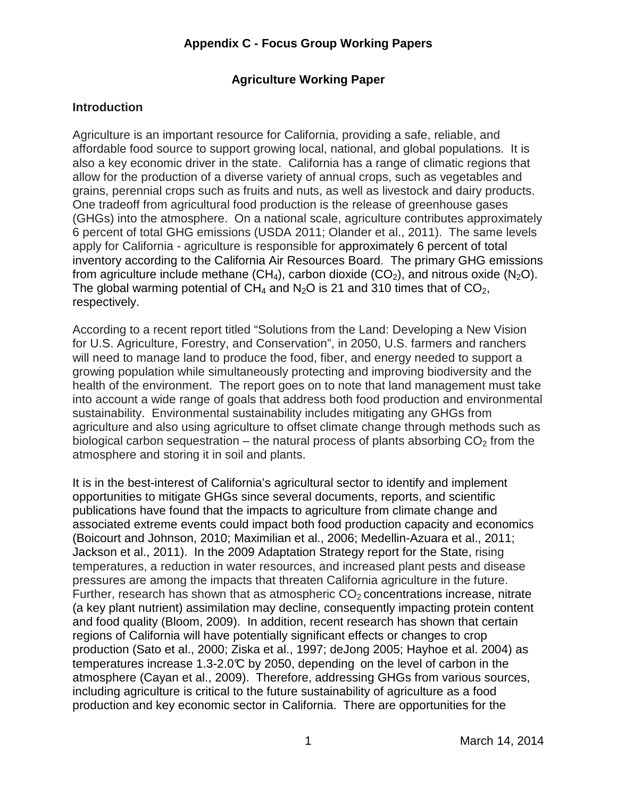#### **Agriculture Working Paper**

#### **Introduction**

 Agriculture is an important resource for California, providing a safe, reliable, and affordable food source to support growing local, national, and global populations. It is also a key economic driver in the state. California has a range of climatic regions that allow for the production of a diverse variety of annual crops, such as vegetables and grains, perennial crops such as fruits and nuts, as well as livestock and dairy products. One tradeoff from agricultural food production is the release of greenhouse gases (GHGs) into the atmosphere. On a national scale, agriculture contributes approximately 6 percent of total GHG emissions (USDA 2011; Olander et al., 2011). The same levels apply for California - agriculture is responsible for approximately 6 percent of total inventory according to the California Air Resources Board. The primary GHG emissions from agriculture include methane (CH<sub>4</sub>), carbon dioxide (CO<sub>2</sub>), and nitrous oxide (N<sub>2</sub>O). The global warming potential of CH<sub>4</sub> and N<sub>2</sub>O is 21 and 310 times that of CO<sub>2</sub>, respectively.

 According to a recent report titled "Solutions from the Land: Developing a New Vision for U.S. Agriculture, Forestry, and Conservation", in 2050, U.S. farmers and ranchers will need to manage land to produce the food, fiber, and energy needed to support a growing population while simultaneously protecting and improving biodiversity and the health of the environment. The report goes on to note that land management must take into account a wide range of goals that address both food production and environmental sustainability. Environmental sustainability includes mitigating any GHGs from agriculture and also using agriculture to offset climate change through methods such as biological carbon sequestration – the natural process of plants absorbing  $CO<sub>2</sub>$  from the atmosphere and storing it in soil and plants.

 It is in the best-interest of California's agricultural sector to identify and implement opportunities to mitigate GHGs since several documents, reports, and scientific publications have found that the impacts to agriculture from climate change and associated extreme events could impact both food production capacity and economics (Boicourt and Johnson, 2010; Maximilian et al., 2006; Medellin-Azuara et al., 2011; Jackson et al., 2011). In the 2009 Adaptation Strategy report for the State, rising temperatures, a reduction in water resources, and increased plant pests and disease pressures are among the impacts that threaten California agriculture in the future. Further, research has shown that as atmospheric  $CO<sub>2</sub>$  concentrations increase, nitrate (a key plant nutrient) assimilation may decline, consequently impacting protein content and food quality (Bloom, 2009). In addition, recent research has shown that certain regions of California will have potentially significant effects or changes to crop production (Sato et al., 2000; Ziska et al., 1997; deJong 2005; Hayhoe et al. 2004) as temperatures increase 1.3-2.0°C by 2050, depending on the level of carbon in the atmosphere (Cayan et al., 2009). Therefore, addressing GHGs from various sources, including agriculture is critical to the future sustainability of agriculture as a food production and key economic sector in California. There are opportunities for the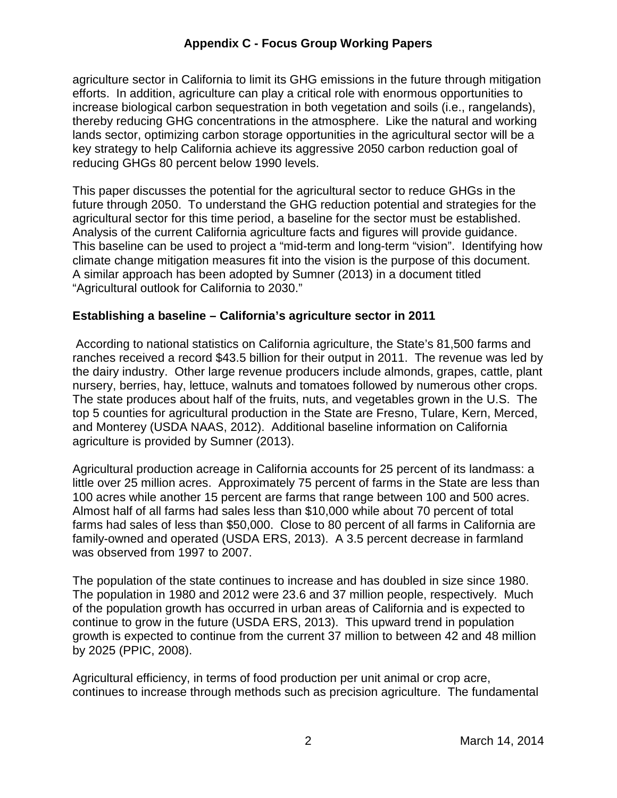agriculture sector in California to limit its GHG emissions in the future through mitigation efforts. In addition, agriculture can play a critical role with enormous opportunities to increase biological carbon sequestration in both vegetation and soils (i.e., rangelands), thereby reducing GHG concentrations in the atmosphere. Like the natural and working lands sector, optimizing carbon storage opportunities in the agricultural sector will be a key strategy to help California achieve its aggressive 2050 carbon reduction goal of reducing GHGs 80 percent below 1990 levels.

 This paper discusses the potential for the agricultural sector to reduce GHGs in the future through 2050. To understand the GHG reduction potential and strategies for the agricultural sector for this time period, a baseline for the sector must be established. Analysis of the current California agriculture facts and figures will provide guidance. This baseline can be used to project a "mid-term and long-term "vision". Identifying how climate change mitigation measures fit into the vision is the purpose of this document. A similar approach has been adopted by Sumner (2013) in a document titled "Agricultural outlook for California to 2030."

#### **Establishing a baseline – California's agriculture sector in 2011**

 According to national statistics on California agriculture, the State's 81,500 farms and ranches received a record \$43.5 billion for their output in 2011. The revenue was led by the dairy industry. Other large revenue producers include almonds, grapes, cattle, plant nursery, berries, hay, lettuce, walnuts and tomatoes followed by numerous other crops. The state produces about half of the fruits, nuts, and vegetables grown in the U.S. The top 5 counties for agricultural production in the State are Fresno, Tulare, Kern, Merced, and Monterey (USDA NAAS, 2012). Additional baseline information on California agriculture is provided by Sumner (2013).

 Agricultural production acreage in California accounts for 25 percent of its landmass: a little over 25 million acres. Approximately 75 percent of farms in the State are less than 100 acres while another 15 percent are farms that range between 100 and 500 acres. Almost half of all farms had sales less than \$10,000 while about 70 percent of total farms had sales of less than \$50,000. Close to 80 percent of all farms in California are family-owned and operated (USDA ERS, 2013). A 3.5 percent decrease in farmland was observed from 1997 to 2007.

 The population of the state continues to increase and has doubled in size since 1980. The population in 1980 and 2012 were 23.6 and 37 million people, respectively. Much of the population growth has occurred in urban areas of California and is expected to continue to grow in the future (USDA ERS, 2013). This upward trend in population growth is expected to continue from the current 37 million to between 42 and 48 million by 2025 (PPIC, 2008).

 Agricultural efficiency, in terms of food production per unit animal or crop acre, continues to increase through methods such as precision agriculture. The fundamental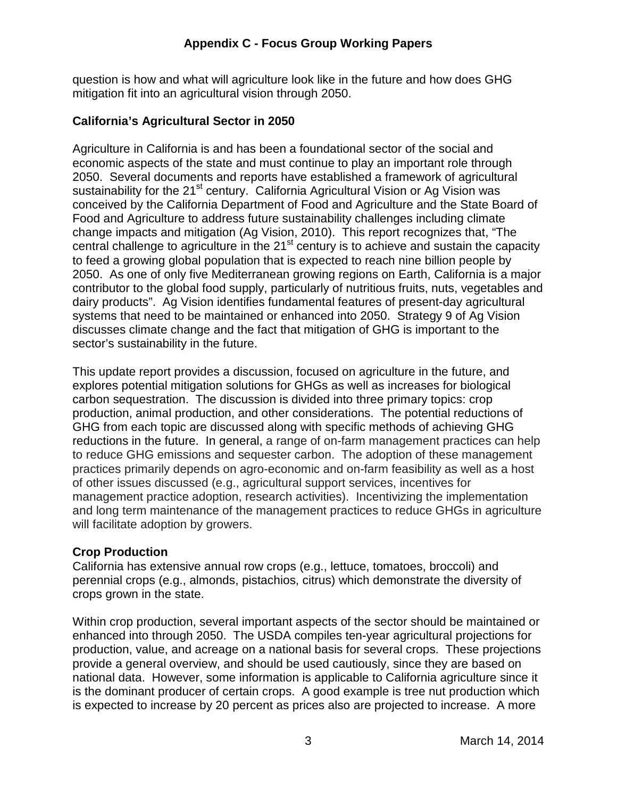question is how and what will agriculture look like in the future and how does GHG mitigation fit into an agricultural vision through 2050.

# **California's Agricultural Sector in 2050**

 Agriculture in California is and has been a foundational sector of the social and economic aspects of the state and must continue to play an important role through 2050. Several documents and reports have established a framework of agricultural sustainability for the 21<sup>st</sup> century. California Agricultural Vision or Ag Vision was conceived by the California Department of Food and Agriculture and the State Board of Food and Agriculture to address future sustainability challenges including climate change impacts and mitigation (Ag Vision, 2010). This report recognizes that, "The central challenge to agriculture in the 21<sup>st</sup> century is to achieve and sustain the capacity to feed a growing global population that is expected to reach nine billion people by 2050. As one of only five Mediterranean growing regions on Earth, California is a major contributor to the global food supply, particularly of nutritious fruits, nuts, vegetables and dairy products". Ag Vision identifies fundamental features of present-day agricultural systems that need to be maintained or enhanced into 2050. Strategy 9 of Ag Vision discusses climate change and the fact that mitigation of GHG is important to the sector's sustainability in the future.

 This update report provides a discussion, focused on agriculture in the future, and explores potential mitigation solutions for GHGs as well as increases for biological carbon sequestration. The discussion is divided into three primary topics: crop production, animal production, and other considerations. The potential reductions of GHG from each topic are discussed along with specific methods of achieving GHG reductions in the future. In general, a range of on-farm management practices can help to reduce GHG emissions and sequester carbon. The adoption of these management practices primarily depends on agro-economic and on-farm feasibility as well as a host of other issues discussed (e.g., agricultural support services, incentives for management practice adoption, research activities). Incentivizing the implementation and long term maintenance of the management practices to reduce GHGs in agriculture will facilitate adoption by growers.

# **Crop Production**

 California has extensive annual row crops (e.g., lettuce, tomatoes, broccoli) and perennial crops (e.g., almonds, pistachios, citrus) which demonstrate the diversity of crops grown in the state.

 Within crop production, several important aspects of the sector should be maintained or enhanced into through 2050. The USDA compiles ten-year agricultural projections for production, value, and acreage on a national basis for several crops. These projections provide a general overview, and should be used cautiously, since they are based on national data. However, some information is applicable to California agriculture since it is the dominant producer of certain crops. A good example is tree nut production which is expected to increase by 20 percent as prices also are projected to increase. A more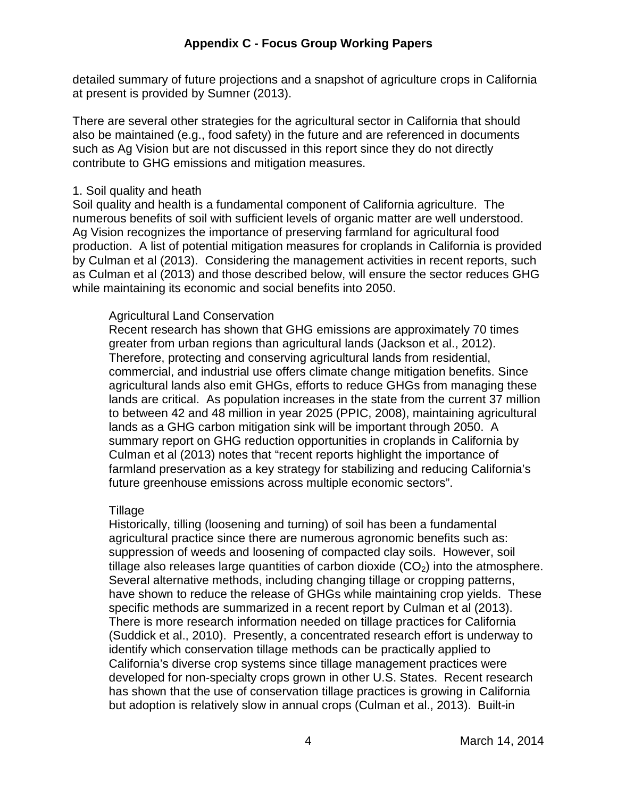detailed summary of future projections and a snapshot of agriculture crops in California at present is provided by Sumner (2013).

 There are several other strategies for the agricultural sector in California that should also be maintained (e.g., food safety) in the future and are referenced in documents such as Ag Vision but are not discussed in this report since they do not directly contribute to GHG emissions and mitigation measures.

#### 1. Soil quality and heath

 Soil quality and health is a fundamental component of California agriculture. The numerous benefits of soil with sufficient levels of organic matter are well understood. Ag Vision recognizes the importance of preserving farmland for agricultural food production. A list of potential mitigation measures for croplands in California is provided by Culman et al (2013). Considering the management activities in recent reports, such as Culman et al (2013) and those described below, will ensure the sector reduces GHG while maintaining its economic and social benefits into 2050.

#### Agricultural Land Conservation

 Recent research has shown that GHG emissions are approximately 70 times greater from urban regions than agricultural lands (Jackson et al., 2012). Therefore, protecting and conserving agricultural lands from residential, commercial, and industrial use offers climate change mitigation benefits. Since agricultural lands also emit GHGs, efforts to reduce GHGs from managing these lands are critical. As population increases in the state from the current 37 million to between 42 and 48 million in year 2025 (PPIC, 2008), maintaining agricultural lands as a GHG carbon mitigation sink will be important through 2050. A summary report on GHG reduction opportunities in croplands in California by Culman et al (2013) notes that "recent reports highlight the importance of farmland preservation as a key strategy for stabilizing and reducing California's future greenhouse emissions across multiple economic sectors".

#### Tillage

 Historically, tilling (loosening and turning) of soil has been a fundamental agricultural practice since there are numerous agronomic benefits such as: suppression of weeds and loosening of compacted clay soils. However, soil tillage also releases large quantities of carbon dioxide (CO<sub>2</sub>) into the atmosphere. Several alternative methods, including changing tillage or cropping patterns, have shown to reduce the release of GHGs while maintaining crop yields. These specific methods are summarized in a recent report by Culman et al (2013). There is more research information needed on tillage practices for California (Suddick et al., 2010). Presently, a concentrated research effort is underway to identify which conservation tillage methods can be practically applied to California's diverse crop systems since tillage management practices were developed for non-specialty crops grown in other U.S. States. Recent research has shown that the use of conservation tillage practices is growing in California but adoption is relatively slow in annual crops (Culman et al., 2013). Built-in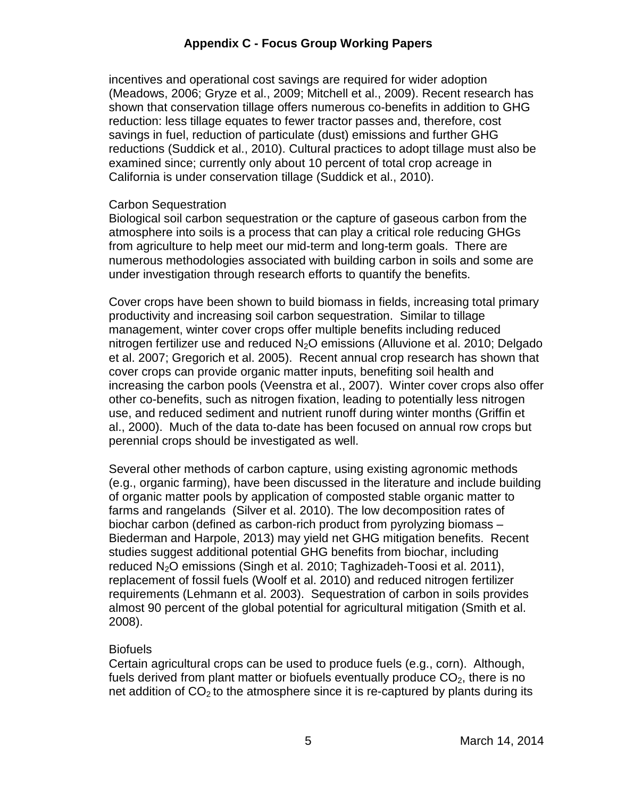incentives and operational cost savings are required for wider adoption (Meadows, 2006; Gryze et al., 2009; Mitchell et al., 2009). Recent research has shown that conservation tillage offers numerous co-benefits in addition to GHG reduction: less tillage equates to fewer tractor passes and, therefore, cost savings in fuel, reduction of particulate (dust) emissions and further GHG reductions (Suddick et al., 2010). Cultural practices to adopt tillage must also be examined since; currently only about 10 percent of total crop acreage in California is under conservation tillage (Suddick et al., 2010).

#### Carbon Sequestration

 Biological soil carbon sequestration or the capture of gaseous carbon from the atmosphere into soils is a process that can play a critical role reducing GHGs from agriculture to help meet our mid-term and long-term goals. There are numerous methodologies associated with building carbon in soils and some are under investigation through research efforts to quantify the benefits.

 Cover crops have been shown to build biomass in fields, increasing total primary productivity and increasing soil carbon sequestration. Similar to tillage management, winter cover crops offer multiple benefits including reduced nitrogen fertilizer use and reduced  $N_2O$  emissions (Alluvione et al. 2010; Delgado et al. 2007; Gregorich et al. 2005). Recent annual crop research has shown that cover crops can provide organic matter inputs, benefiting soil health and increasing the carbon pools (Veenstra et al., 2007). Winter cover crops also offer other co-benefits, such as nitrogen fixation, leading to potentially less nitrogen use, and reduced sediment and nutrient runoff during winter months (Griffin et al., 2000). Much of the data to-date has been focused on annual row crops but perennial crops should be investigated as well.

 Several other methods of carbon capture, using existing agronomic methods (e.g., organic farming), have been discussed in the literature and include building of organic matter pools by application of composted stable organic matter to farms and rangelands (Silver et al. 2010). The low decomposition rates of biochar carbon (defined as carbon-rich product from pyrolyzing biomass – Biederman and Harpole, 2013) may yield net GHG mitigation benefits. Recent studies suggest additional potential GHG benefits from biochar, including reduced N<sub>2</sub>O emissions (Singh et al. 2010; Taghizadeh-Toosi et al. 2011), replacement of fossil fuels (Woolf et al. 2010) and reduced nitrogen fertilizer requirements (Lehmann et al. 2003). Sequestration of carbon in soils provides almost 90 percent of the global potential for agricultural mitigation (Smith et al.  $2008$ ).

#### Biofuels

 Certain agricultural crops can be used to produce fuels (e.g., corn). Although, fuels derived from plant matter or biofuels eventually produce  $CO<sub>2</sub>$ , there is no net addition of  $CO<sub>2</sub>$  to the atmosphere since it is re-captured by plants during its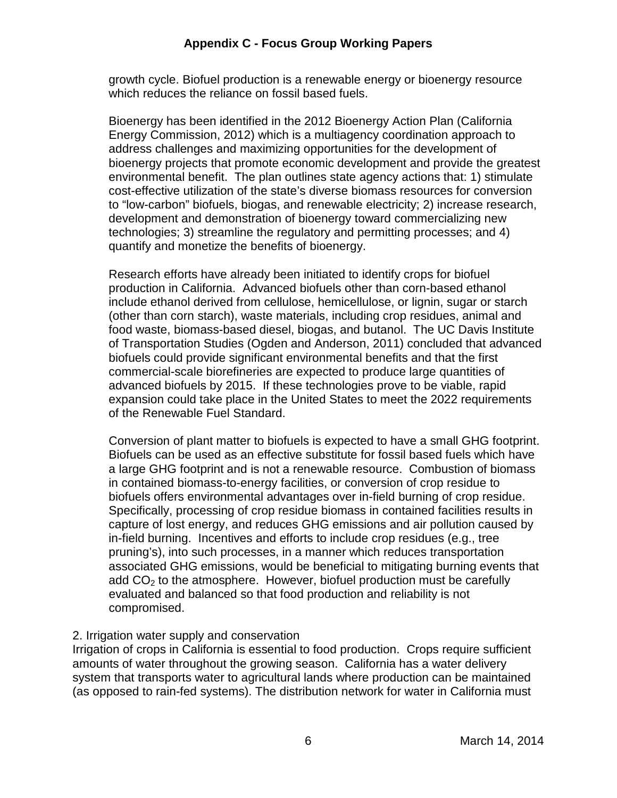growth cycle. Biofuel production is a renewable energy or bioenergy resource which reduces the reliance on fossil based fuels.

 Bioenergy has been identified in the 2012 Bioenergy Action Plan (California Energy Commission, 2012) which is a multiagency coordination approach to address challenges and maximizing opportunities for the development of bioenergy projects that promote economic development and provide the greatest environmental benefit. The plan outlines state agency actions that: 1) stimulate cost-effective utilization of the state's diverse biomass resources for conversion to "low-carbon" biofuels, biogas, and renewable electricity; 2) increase research, development and demonstration of bioenergy toward commercializing new technologies; 3) streamline the regulatory and permitting processes; and 4) quantify and monetize the benefits of bioenergy.

 Research efforts have already been initiated to identify crops for biofuel production in California. Advanced biofuels other than corn-based ethanol include ethanol derived from cellulose, hemicellulose, or lignin, sugar or starch (other than corn starch), waste materials, including crop residues, animal and food waste, biomass-based diesel, biogas, and butanol. The UC Davis Institute of Transportation Studies (Ogden and Anderson, 2011) concluded that advanced biofuels could provide significant environmental benefits and that the first commercial-scale biorefineries are expected to produce large quantities of advanced biofuels by 2015. If these technologies prove to be viable, rapid expansion could take place in the United States to meet the 2022 requirements of the Renewable Fuel Standard.

 Conversion of plant matter to biofuels is expected to have a small GHG footprint. Biofuels can be used as an effective substitute for fossil based fuels which have a large GHG footprint and is not a renewable resource. Combustion of biomass in contained biomass-to-energy facilities, or conversion of crop residue to biofuels offers environmental advantages over in-field burning of crop residue. Specifically, processing of crop residue biomass in contained facilities results in capture of lost energy, and reduces GHG emissions and air pollution caused by in-field burning. Incentives and efforts to include crop residues (e.g., tree pruning's), into such processes, in a manner which reduces transportation associated GHG emissions, would be beneficial to mitigating burning events that add  $CO<sub>2</sub>$  to the atmosphere. However, biofuel production must be carefully evaluated and balanced so that food production and reliability is not compromised.

#### 2. Irrigation water supply and conservation

 Irrigation of crops in California is essential to food production. Crops require sufficient amounts of water throughout the growing season. California has a water delivery system that transports water to agricultural lands where production can be maintained (as opposed to rain-fed systems). The distribution network for water in California must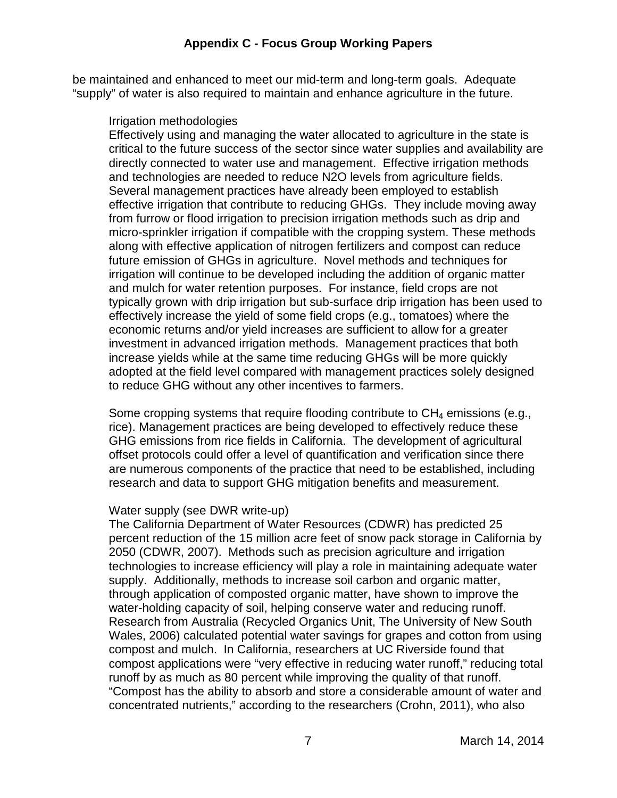be maintained and enhanced to meet our mid-term and long-term goals. Adequate "supply" of water is also required to maintain and enhance agriculture in the future.

#### Irrigation methodologies

 Effectively using and managing the water allocated to agriculture in the state is critical to the future success of the sector since water supplies and availability are directly connected to water use and management. Effective irrigation methods and technologies are needed to reduce N2O levels from agriculture fields. Several management practices have already been employed to establish effective irrigation that contribute to reducing GHGs. They include moving away from furrow or flood irrigation to precision irrigation methods such as drip and micro-sprinkler irrigation if compatible with the cropping system. These methods along with effective application of nitrogen fertilizers and compost can reduce future emission of GHGs in agriculture. Novel methods and techniques for irrigation will continue to be developed including the addition of organic matter and mulch for water retention purposes. For instance, field crops are not typically grown with drip irrigation but sub-surface drip irrigation has been used to effectively increase the yield of some field crops (e.g., tomatoes) where the economic returns and/or yield increases are sufficient to allow for a greater investment in advanced irrigation methods. Management practices that both increase yields while at the same time reducing GHGs will be more quickly adopted at the field level compared with management practices solely designed to reduce GHG without any other incentives to farmers.

Some cropping systems that require flooding contribute to  $CH_4$  emissions (e.g., rice). Management practices are being developed to effectively reduce these GHG emissions from rice fields in California. The development of agricultural offset protocols could offer a level of quantification and verification since there are numerous components of the practice that need to be established, including research and data to support GHG mitigation benefits and measurement.

#### Water supply (see DWR write-up)

 The California Department of Water Resources (CDWR) has predicted 25 percent reduction of the 15 million acre feet of snow pack storage in California by 2050 (CDWR, 2007). Methods such as precision agriculture and irrigation technologies to increase efficiency will play a role in maintaining adequate water supply. Additionally, methods to increase soil carbon and organic matter, through application of composted organic matter, have shown to improve the water-holding capacity of soil, helping conserve water and reducing runoff. Research from Australia (Recycled Organics Unit, The University of New South Wales, 2006) calculated potential water savings for grapes and cotton from using compost and mulch. In California, researchers at UC Riverside found that compost applications were "very effective in reducing water runoff," reducing total runoff by as much as 80 percent while improving the quality of that runoff. "Compost has the ability to absorb and store a considerable amount of water and concentrated nutrients," according to the researchers (Crohn, 2011), who also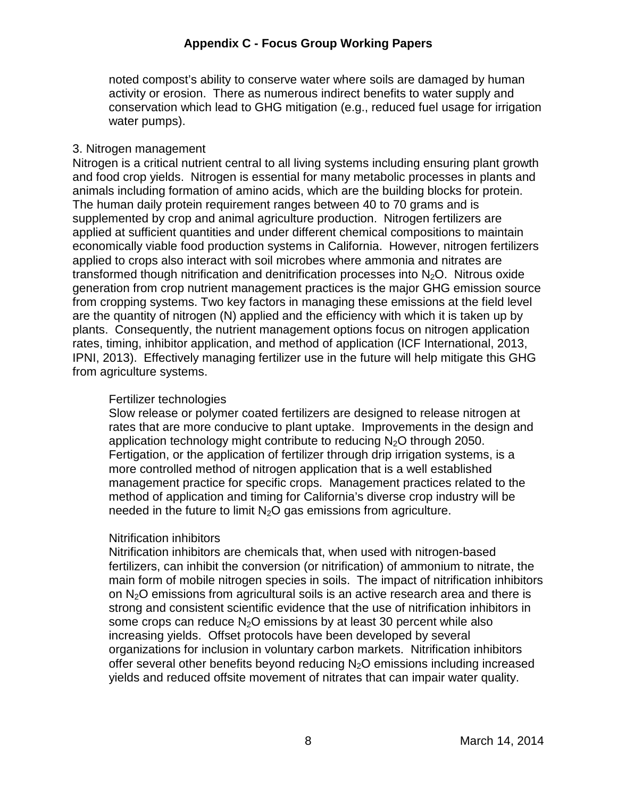noted compost's ability to conserve water where soils are damaged by human activity or erosion. There as numerous indirect benefits to water supply and conservation which lead to GHG mitigation (e.g., reduced fuel usage for irrigation water pumps).

#### 3. Nitrogen management

 Nitrogen is a critical nutrient central to all living systems including ensuring plant growth and food crop yields. Nitrogen is essential for many metabolic processes in plants and animals including formation of amino acids, which are the building blocks for protein. The human daily protein requirement ranges between 40 to 70 grams and is supplemented by crop and animal agriculture production. Nitrogen fertilizers are applied at sufficient quantities and under different chemical compositions to maintain economically viable food production systems in California. However, nitrogen fertilizers applied to crops also interact with soil microbes where ammonia and nitrates are transformed though nitrification and denitrification processes into  $N_2O$ . Nitrous oxide generation from crop nutrient management practices is the major GHG emission source from cropping systems. Two key factors in managing these emissions at the field level are the quantity of nitrogen (N) applied and the efficiency with which it is taken up by plants. Consequently, the nutrient management options focus on nitrogen application rates, timing, inhibitor application, and method of application (ICF International, 2013, IPNI, 2013). Effectively managing fertilizer use in the future will help mitigate this GHG from agriculture systems.

#### Fertilizer technologies

 Slow release or polymer coated fertilizers are designed to release nitrogen at rates that are more conducive to plant uptake. Improvements in the design and application technology might contribute to reducing  $N_2O$  through 2050. Fertigation, or the application of fertilizer through drip irrigation systems, is a more controlled method of nitrogen application that is a well established management practice for specific crops. Management practices related to the method of application and timing for California's diverse crop industry will be needed in the future to limit  $N_2O$  gas emissions from agriculture.

#### Nitrification inhibitors

 Nitrification inhibitors are chemicals that, when used with nitrogen-based fertilizers, can inhibit the conversion (or nitrification) of ammonium to nitrate, the main form of mobile nitrogen species in soils. The impact of nitrification inhibitors on  $N_2O$  emissions from agricultural soils is an active research area and there is strong and consistent scientific evidence that the use of nitrification inhibitors in some crops can reduce  $N_2O$  emissions by at least 30 percent while also increasing yields. Offset protocols have been developed by several organizations for inclusion in voluntary carbon markets. Nitrification inhibitors offer several other benefits beyond reducing  $N_2O$  emissions including increased yields and reduced offsite movement of nitrates that can impair water quality.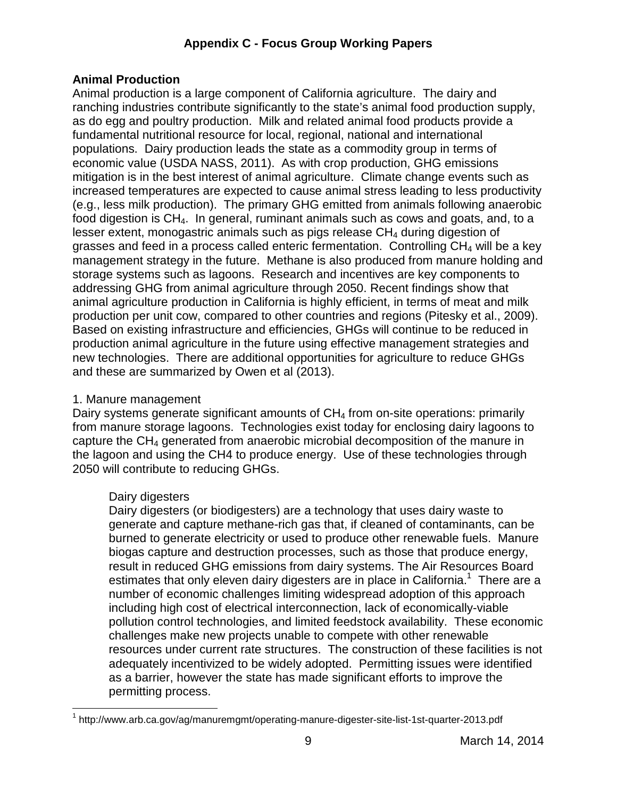# **Animal Production**

 Animal production is a large component of California agriculture. The dairy and ranching industries contribute significantly to the state's animal food production supply, as do egg and poultry production. Milk and related animal food products provide a fundamental nutritional resource for local, regional, national and international populations. Dairy production leads the state as a commodity group in terms of economic value (USDA NASS, 2011). As with crop production, GHG emissions mitigation is in the best interest of animal agriculture. Climate change events such as increased temperatures are expected to cause animal stress leading to less productivity (e.g., less milk production). The primary GHG emitted from animals following anaerobic food digestion is CH4. In general, ruminant animals such as cows and goats, and, to a lesser extent, monogastric animals such as pigs release  $CH<sub>4</sub>$  during digestion of grasses and feed in a process called enteric fermentation. Controlling  $CH_4$  will be a key management strategy in the future. Methane is also produced from manure holding and storage systems such as lagoons. Research and incentives are key components to addressing GHG from animal agriculture through 2050. Recent findings show that animal agriculture production in California is highly efficient, in terms of meat and milk production per unit cow, compared to other countries and regions (Pitesky et al., 2009). Based on existing infrastructure and efficiencies, GHGs will continue to be reduced in production animal agriculture in the future using effective management strategies and new technologies. There are additional opportunities for agriculture to reduce GHGs and these are summarized by Owen et al (2013).

# 1. Manure management

Dairy systems generate significant amounts of  $CH_4$  from on-site operations: primarily from manure storage lagoons. Technologies exist today for enclosing dairy lagoons to capture the  $CH_4$  generated from anaerobic microbial decomposition of the manure in the lagoon and using the CH4 to produce energy. Use of these technologies through 2050 will contribute to reducing GHGs.

# Dairy digesters

 Dairy digesters (or biodigesters) are a technology that uses dairy waste to generate and capture methane-rich gas that, if cleaned of contaminants, can be burned to generate electricity or used to produce other renewable fuels. Manure biogas capture and destruction processes, such as those that produce energy, result in reduced GHG emissions from dairy systems. The Air Resources Board estimates that only eleven dairy digesters are in place in California.<sup>1</sup> There are a number of economic challenges limiting widespread adoption of this approach including high cost of electrical interconnection, lack of economically-viable pollution control technologies, and limited feedstock availability. These economic challenges make new projects unable to compete with other renewable resources under current rate structures. The construction of these facilities is not adequately incentivized to be widely adopted. Permitting issues were identified as a barrier, however the state has made significant efforts to improve the permitting process.

 $\overline{a}$  $1$  <http://www.arb.ca.gov/ag/manuremgmt/operating-manure-digester-site-list-1st-quarter-2013.pdf>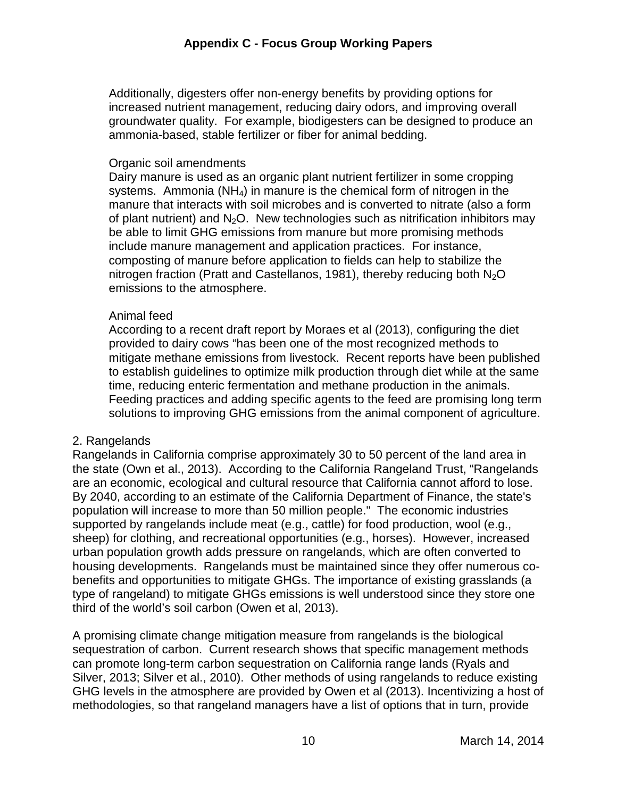Additionally, digesters offer non-energy benefits by providing options for increased nutrient management, reducing dairy odors, and improving overall groundwater quality. For example, biodigesters can be designed to produce an ammonia-based, stable fertilizer or fiber for animal bedding.

#### Organic soil amendments

 Dairy manure is used as an organic plant nutrient fertilizer in some cropping systems. Ammonia (NH<sub>4</sub>) in manure is the chemical form of nitrogen in the manure that interacts with soil microbes and is converted to nitrate (also a form of plant nutrient) and  $N_2O$ . New technologies such as nitrification inhibitors may be able to limit GHG emissions from manure but more promising methods include manure management and application practices. For instance, composting of manure before application to fields can help to stabilize the nitrogen fraction (Pratt and Castellanos, 1981), thereby reducing both  $N_2O$ emissions to the atmosphere.

#### Animal feed

 According to a recent draft report by Moraes et al (2013), configuring the diet provided to dairy cows "has been one of the most recognized methods to mitigate methane emissions from livestock. Recent reports have been published to establish guidelines to optimize milk production through diet while at the same time, reducing enteric fermentation and methane production in the animals. Feeding practices and adding specific agents to the feed are promising long term solutions to improving GHG emissions from the animal component of agriculture.

# 2. Rangelands

 Rangelands in California comprise approximately 30 to 50 percent of the land area in the state (Own et al., 2013). According to the California Rangeland Trust, "Rangelands are an economic, ecological and cultural resource that California cannot afford to lose. By 2040, according to an estimate of the California Department of Finance, the state's population will increase to more than 50 million people." The economic industries supported by rangelands include meat (e.g., cattle) for food production, wool (e.g., sheep) for clothing, and recreational opportunities (e.g., horses). However, increased urban population growth adds pressure on rangelands, which are often converted to housing developments. Rangelands must be maintained since they offer numerous co- benefits and opportunities to mitigate GHGs. The importance of existing grasslands (a type of rangeland) to mitigate GHGs emissions is well understood since they store one third of the world's soil carbon (Owen et al, 2013).

 A promising climate change mitigation measure from rangelands is the biological sequestration of carbon. Current research shows that specific management methods can promote long-term carbon sequestration on California range lands (Ryals and Silver, 2013; Silver et al., 2010). Other methods of using rangelands to reduce existing GHG levels in the atmosphere are provided by Owen et al (2013). Incentivizing a host of methodologies, so that rangeland managers have a list of options that in turn, provide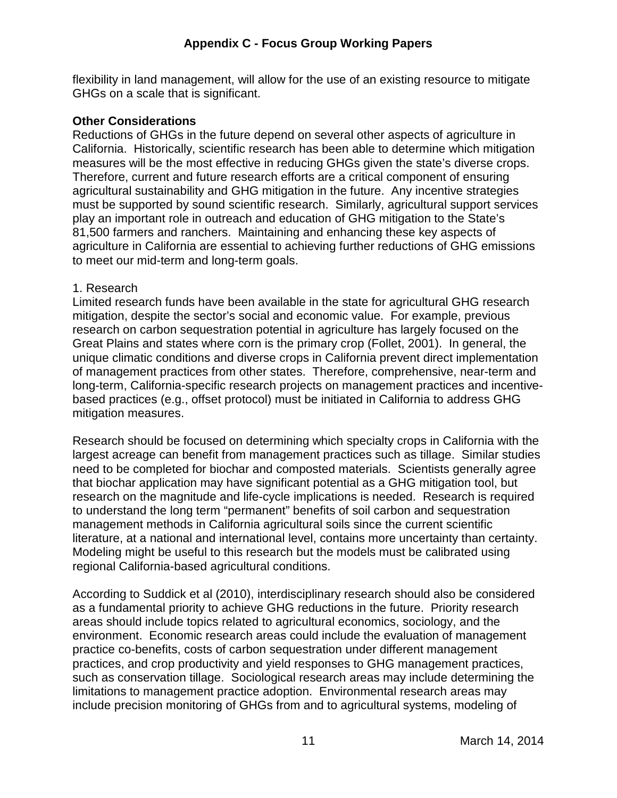flexibility in land management, will allow for the use of an existing resource to mitigate GHGs on a scale that is significant.

## **Other Considerations**

 Reductions of GHGs in the future depend on several other aspects of agriculture in California. Historically, scientific research has been able to determine which mitigation measures will be the most effective in reducing GHGs given the state's diverse crops. Therefore, current and future research efforts are a critical component of ensuring agricultural sustainability and GHG mitigation in the future. Any incentive strategies must be supported by sound scientific research. Similarly, agricultural support services play an important role in outreach and education of GHG mitigation to the State's 81,500 farmers and ranchers. Maintaining and enhancing these key aspects of agriculture in California are essential to achieving further reductions of GHG emissions to meet our mid-term and long-term goals.

#### 1. Research

 Limited research funds have been available in the state for agricultural GHG research mitigation, despite the sector's social and economic value. For example, previous research on carbon sequestration potential in agriculture has largely focused on the Great Plains and states where corn is the primary crop (Follet, 2001). In general, the unique climatic conditions and diverse crops in California prevent direct implementation of management practices from other states. Therefore, comprehensive, near-term and long-term, California-specific research projects on management practices and incentive- based practices (e.g., offset protocol) must be initiated in California to address GHG mitigation measures.

 Research should be focused on determining which specialty crops in California with the largest acreage can benefit from management practices such as tillage. Similar studies need to be completed for biochar and composted materials. Scientists generally agree that biochar application may have significant potential as a GHG mitigation tool, but research on the magnitude and life-cycle implications is needed. Research is required to understand the long term "permanent" benefits of soil carbon and sequestration management methods in California agricultural soils since the current scientific literature, at a national and international level, contains more uncertainty than certainty. Modeling might be useful to this research but the models must be calibrated using regional California-based agricultural conditions.

 According to Suddick et al (2010), interdisciplinary research should also be considered as a fundamental priority to achieve GHG reductions in the future. Priority research areas should include topics related to agricultural economics, sociology, and the environment. Economic research areas could include the evaluation of management practice co-benefits, costs of carbon sequestration under different management practices, and crop productivity and yield responses to GHG management practices, such as conservation tillage. Sociological research areas may include determining the limitations to management practice adoption. Environmental research areas may include precision monitoring of GHGs from and to agricultural systems, modeling of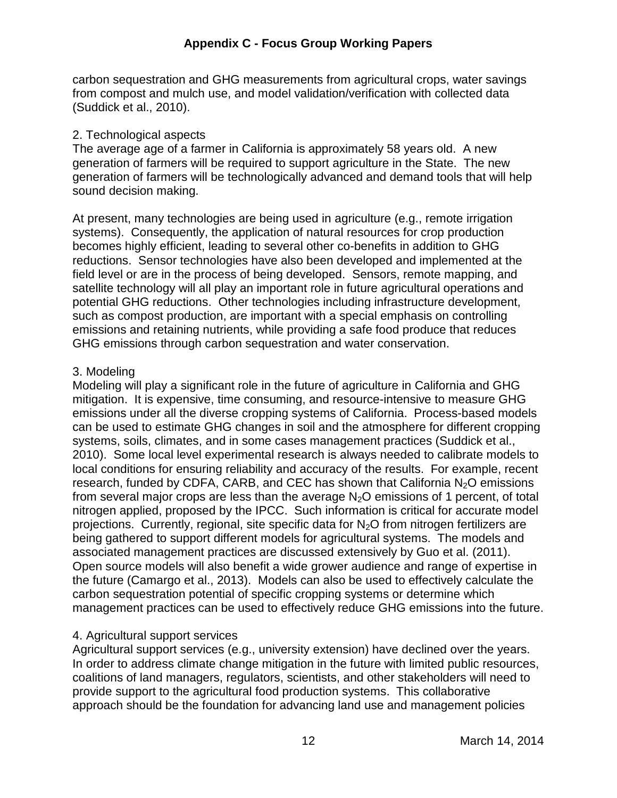carbon sequestration and GHG measurements from agricultural crops, water savings from compost and mulch use, and model validation/verification with collected data (Suddick et al., 2010).

# 2. Technological aspects

 The average age of a farmer in California is approximately 58 years old. A new generation of farmers will be required to support agriculture in the State. The new generation of farmers will be technologically advanced and demand tools that will help sound decision making.

 At present, many technologies are being used in agriculture (e.g., remote irrigation systems). Consequently, the application of natural resources for crop production becomes highly efficient, leading to several other co-benefits in addition to GHG reductions. Sensor technologies have also been developed and implemented at the field level or are in the process of being developed. Sensors, remote mapping, and satellite technology will all play an important role in future agricultural operations and potential GHG reductions. Other technologies including infrastructure development, such as compost production, are important with a special emphasis on controlling emissions and retaining nutrients, while providing a safe food produce that reduces GHG emissions through carbon sequestration and water conservation.

# 3. Modeling

 Modeling will play a significant role in the future of agriculture in California and GHG mitigation. It is expensive, time consuming, and resource-intensive to measure GHG emissions under all the diverse cropping systems of California. Process-based models can be used to estimate GHG changes in soil and the atmosphere for different cropping systems, soils, climates, and in some cases management practices (Suddick et al., 2010). Some local level experimental research is always needed to calibrate models to local conditions for ensuring reliability and accuracy of the results. For example, recent research, funded by CDFA, CARB, and CEC has shown that California  $N_2O$  emissions from several major crops are less than the average  $N_2O$  emissions of 1 percent, of total nitrogen applied, proposed by the IPCC. Such information is critical for accurate model projections. Currently, regional, site specific data for  $N_2O$  from nitrogen fertilizers are being gathered to support different models for agricultural systems. The models and associated management practices are discussed extensively by Guo et al. (2011). Open source models will also benefit a wide grower audience and range of expertise in the future (Camargo et al., 2013). Models can also be used to effectively calculate the carbon sequestration potential of specific cropping systems or determine which management practices can be used to effectively reduce GHG emissions into the future.

# 4. Agricultural support services

 Agricultural support services (e.g., university extension) have declined over the years. In order to address climate change mitigation in the future with limited public resources, coalitions of land managers, regulators, scientists, and other stakeholders will need to provide support to the agricultural food production systems. This collaborative approach should be the foundation for advancing land use and management policies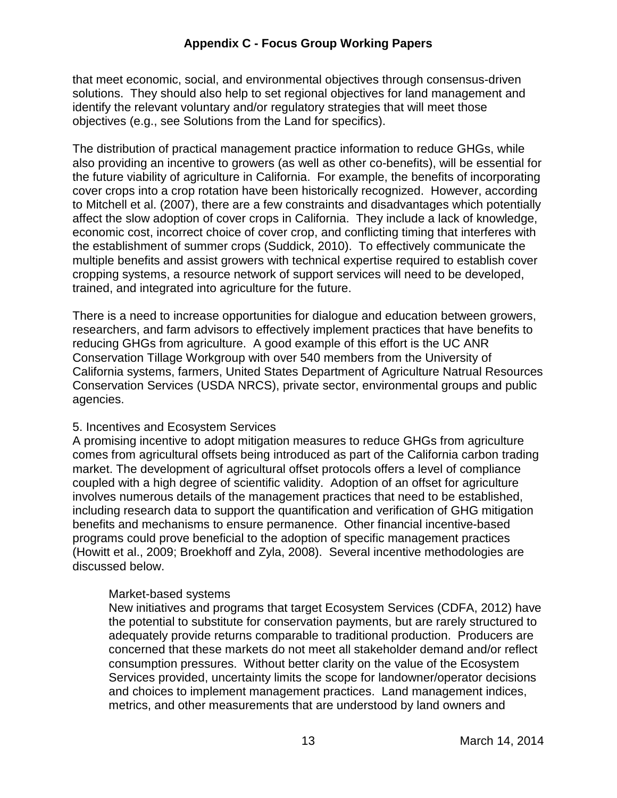that meet economic, social, and environmental objectives through consensus-driven solutions. They should also help to set regional objectives for land management and identify the relevant voluntary and/or regulatory strategies that will meet those objectives (e.g., see Solutions from the Land for specifics).

 The distribution of practical management practice information to reduce GHGs, while also providing an incentive to growers (as well as other co-benefits), will be essential for the future viability of agriculture in California. For example, the benefits of incorporating cover crops into a crop rotation have been historically recognized. However, according to Mitchell et al. (2007), there are a few constraints and disadvantages which potentially affect the slow adoption of cover crops in California. They include a lack of knowledge, economic cost, incorrect choice of cover crop, and conflicting timing that interferes with the establishment of summer crops (Suddick, 2010). To effectively communicate the multiple benefits and assist growers with technical expertise required to establish cover cropping systems, a resource network of support services will need to be developed, trained, and integrated into agriculture for the future.

 There is a need to increase opportunities for dialogue and education between growers, researchers, and farm advisors to effectively implement practices that have benefits to reducing GHGs from agriculture. A good example of this effort is the UC ANR Conservation Tillage Workgroup with over 540 members from the University of California systems, farmers, United States Department of Agriculture Natrual Resources Conservation Services (USDA NRCS), private sector, environmental groups and public agencies.

# agencies.<br>5. Incentives and Ecosystem Services

 A promising incentive to adopt mitigation measures to reduce GHGs from agriculture comes from agricultural offsets being introduced as part of the California carbon trading market. The development of agricultural offset protocols offers a level of compliance coupled with a high degree of scientific validity. Adoption of an offset for agriculture involves numerous details of the management practices that need to be established, including research data to support the quantification and verification of GHG mitigation benefits and mechanisms to ensure permanence. Other financial incentive-based programs could prove beneficial to the adoption of specific management practices (Howitt et al., 2009; Broekhoff and Zyla, 2008). Several incentive methodologies are discussed below.

#### Market-based systems

 New initiatives and programs that target Ecosystem Services (CDFA, 2012) have the potential to substitute for conservation payments, but are rarely structured to adequately provide returns comparable to traditional production. Producers are concerned that these markets do not meet all stakeholder demand and/or reflect consumption pressures. Without better clarity on the value of the Ecosystem Services provided, uncertainty limits the scope for landowner/operator decisions and choices to implement management practices. Land management indices, metrics, and other measurements that are understood by land owners and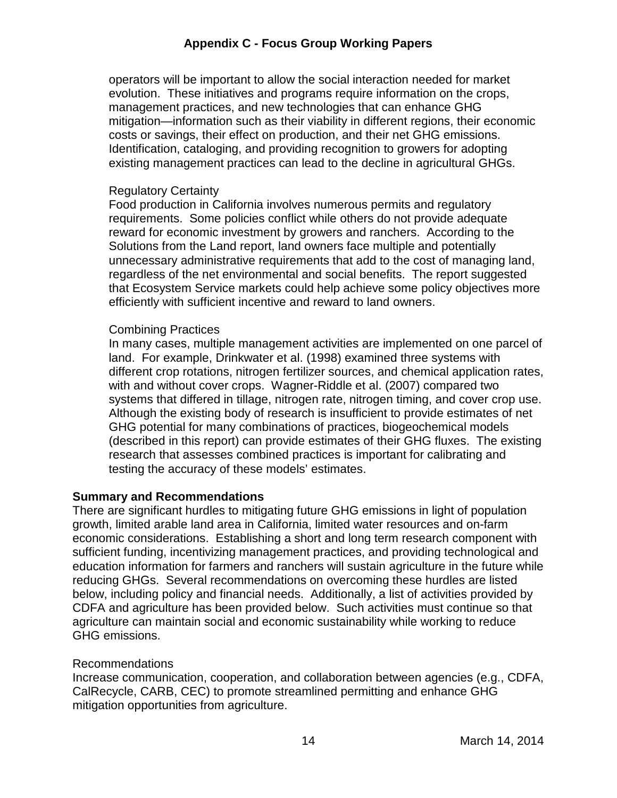operators will be important to allow the social interaction needed for market evolution. These initiatives and programs require information on the crops, management practices, and new technologies that can enhance GHG mitigation—information such as their viability in different regions, their economic costs or savings, their effect on production, and their net GHG emissions. Identification, cataloging, and providing recognition to growers for adopting existing management practices can lead to the decline in agricultural GHGs.

#### Regulatory Certainty

 Food production in California involves numerous permits and regulatory requirements. Some policies conflict while others do not provide adequate reward for economic investment by growers and ranchers. According to the Solutions from the Land report, land owners face multiple and potentially unnecessary administrative requirements that add to the cost of managing land, regardless of the net environmental and social benefits. The report suggested that Ecosystem Service markets could help achieve some policy objectives more efficiently with sufficient incentive and reward to land owners.

#### Combining Practices

 In many cases, multiple management activities are implemented on one parcel of land. For example, Drinkwater et al. (1998) examined three systems with different crop rotations, nitrogen fertilizer sources, and chemical application rates, with and without cover crops. Wagner-Riddle et al. (2007) compared two systems that differed in tillage, nitrogen rate, nitrogen timing, and cover crop use. Although the existing body of research is insufficient to provide estimates of net GHG potential for many combinations of practices, biogeochemical models (described in this report) can provide estimates of their GHG fluxes. The existing research that assesses combined practices is important for calibrating and testing the accuracy of these models' estimates.

#### **Summary and Recommendations**

 There are significant hurdles to mitigating future GHG emissions in light of population growth, limited arable land area in California, limited water resources and on-farm economic considerations. Establishing a short and long term research component with sufficient funding, incentivizing management practices, and providing technological and education information for farmers and ranchers will sustain agriculture in the future while reducing GHGs. Several recommendations on overcoming these hurdles are listed below, including policy and financial needs. Additionally, a list of activities provided by CDFA and agriculture has been provided below. Such activities must continue so that agriculture can maintain social and economic sustainability while working to reduce GHG emissions.

#### Recommendations

 Increase communication, cooperation, and collaboration between agencies (e.g., CDFA, CalRecycle, CARB, CEC) to promote streamlined permitting and enhance GHG mitigation opportunities from agriculture.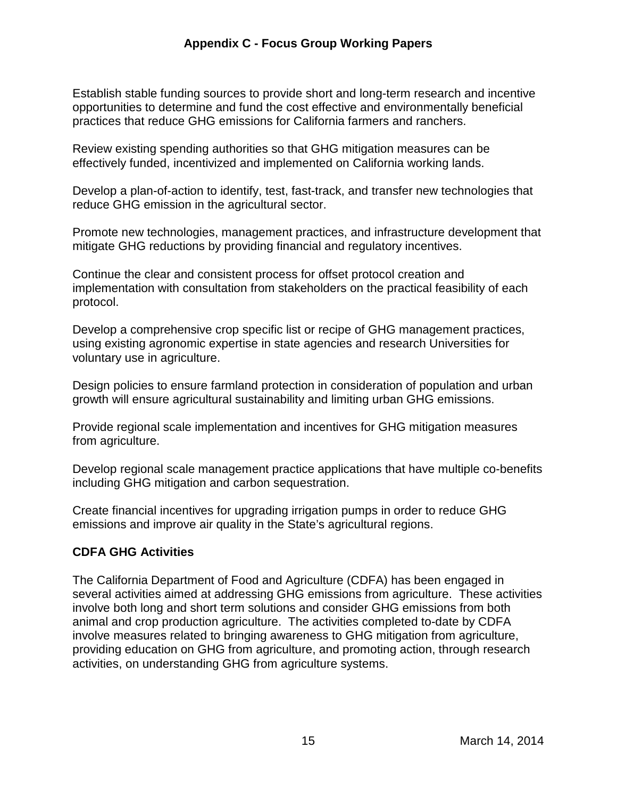Establish stable funding sources to provide short and long-term research and incentive opportunities to determine and fund the cost effective and environmentally beneficial practices that reduce GHG emissions for California farmers and ranchers.

 Review existing spending authorities so that GHG mitigation measures can be effectively funded, incentivized and implemented on California working lands.

 Develop a plan-of-action to identify, test, fast-track, and transfer new technologies that reduce GHG emission in the agricultural sector.

 Promote new technologies, management practices, and infrastructure development that mitigate GHG reductions by providing financial and regulatory incentives.

 Continue the clear and consistent process for offset protocol creation and implementation with consultation from stakeholders on the practical feasibility of each protocol.

protocol.<br>Develop a comprehensive crop specific list or recipe of GHG management practices, using existing agronomic expertise in state agencies and research Universities for voluntary use in agriculture.

 Design policies to ensure farmland protection in consideration of population and urban growth will ensure agricultural sustainability and limiting urban GHG emissions.

 Provide regional scale implementation and incentives for GHG mitigation measures from agriculture.

 Develop regional scale management practice applications that have multiple co-benefits including GHG mitigation and carbon sequestration.

 Create financial incentives for upgrading irrigation pumps in order to reduce GHG emissions and improve air quality in the State's agricultural regions.

# **CDFA GHG Activities**

 The California Department of Food and Agriculture (CDFA) has been engaged in several activities aimed at addressing GHG emissions from agriculture. These activities involve both long and short term solutions and consider GHG emissions from both animal and crop production agriculture. The activities completed to-date by CDFA involve measures related to bringing awareness to GHG mitigation from agriculture, providing education on GHG from agriculture, and promoting action, through research activities, on understanding GHG from agriculture systems.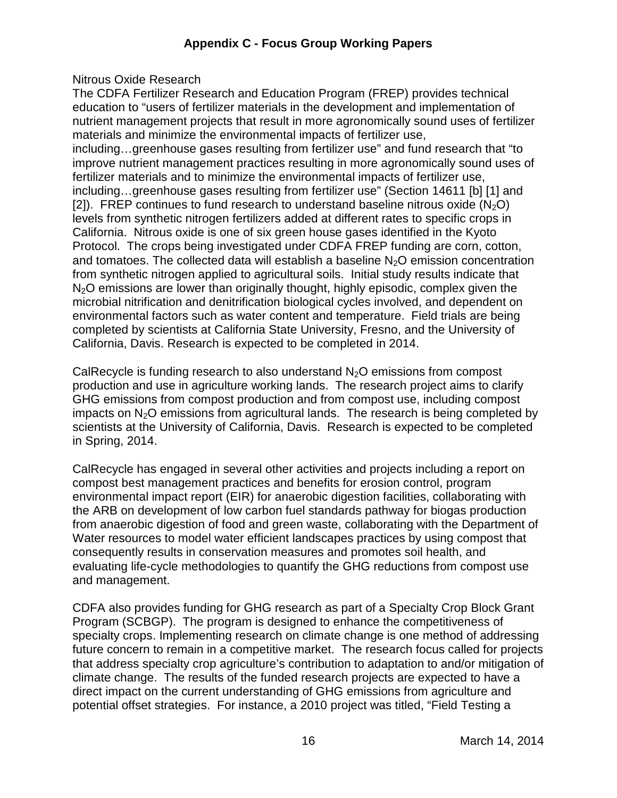Nitrous Oxide Research

 The CDFA Fertilizer Research and Education Program (FREP) provides technical education to "users of fertilizer materials in the development and implementation of nutrient management projects that result in more agronomically sound uses of fertilizer materials and minimize the environmental impacts of fertilizer use, including…greenhouse gases resulting from fertilizer use" and fund research that "to improve nutrient management practices resulting in more agronomically sound uses of fertilizer materials and to minimize the environmental impacts of fertilizer use, including…greenhouse gases resulting from fertilizer use" (Section 14611 [b] [1] and [2]). FREP continues to fund research to understand baseline nitrous oxide  $(N_2O)$  levels from synthetic nitrogen fertilizers added at different rates to specific crops in California. Nitrous oxide is one of six green house gases identified in the Kyoto Protocol. The crops being investigated under CDFA FREP funding are corn, cotton, and tomatoes. The collected data will establish a baseline  $N_2O$  emission concentration from synthetic nitrogen applied to agricultural soils. Initial study results indicate that  $N<sub>2</sub>O$  emissions are lower than originally thought, highly episodic, complex given the microbial nitrification and denitrification biological cycles involved, and dependent on environmental factors such as water content and temperature. Field trials are being completed by scientists at California State University, Fresno, and the University of California, Davis. Research is expected to be completed in 2014.

CalRecycle is funding research to also understand  $N_2O$  emissions from compost production and use in agriculture working lands. The research project aims to clarify GHG emissions from compost production and from compost use, including compost impacts on  $N_2O$  emissions from agricultural lands. The research is being completed by scientists at the University of California, Davis. Research is expected to be completed in Spring, 2014.

 CalRecycle has engaged in several other activities and projects including a report on compost best management practices and benefits for erosion control, program environmental impact report (EIR) for anaerobic digestion facilities, collaborating with the ARB on development of low carbon fuel standards pathway for biogas production from anaerobic digestion of food and green waste, collaborating with the Department of Water resources to model water efficient landscapes practices by using compost that consequently results in conservation measures and promotes soil health, and evaluating life-cycle methodologies to quantify the GHG reductions from compost use and management.

and management.<br>CDFA also provides funding for GHG research as part of a Specialty Crop Block Grant Program (SCBGP). The program is designed to enhance the competitiveness of specialty crops. Implementing research on climate change is one method of addressing future concern to remain in a competitive market. The research focus called for projects that address specialty crop agriculture's contribution to adaptation to and/or mitigation of climate change. The results of the funded research projects are expected to have a direct impact on the current understanding of GHG emissions from agriculture and potential offset strategies. For instance, a 2010 project was titled, "Field Testing a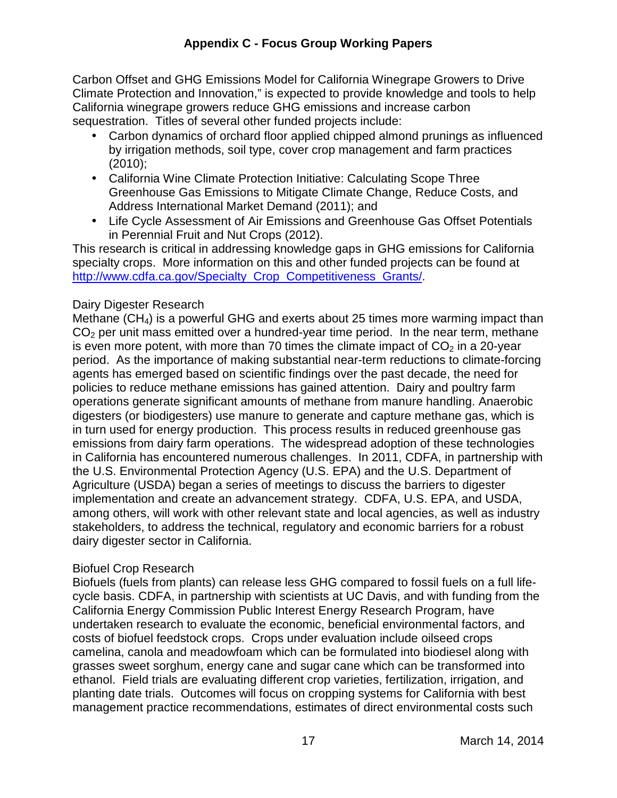Carbon Offset and GHG Emissions Model for California Winegrape Growers to Drive Climate Protection and Innovation," is expected to provide knowledge and tools to help California winegrape growers reduce GHG emissions and increase carbon sequestration. Titles of several other funded projects include:

- • Carbon dynamics of orchard floor applied chipped almond prunings as influenced by irrigation methods, soil type, cover crop management and farm practices (2010);
- • California Wine Climate Protection Initiative: Calculating Scope Three Greenhouse Gas Emissions to Mitigate Climate Change, Reduce Costs, and Address International Market Demand (2011); and
- • Life Cycle Assessment of Air Emissions and Greenhouse Gas Offset Potentials in Perennial Fruit and Nut Crops (2012).

 This research is critical in addressing knowledge gaps in GHG emissions for California specialty crops. More information on this and other funded projects can be found at [http://www.cdfa.ca.gov/Specialty\\_Crop\\_Competitiveness\\_Grants/](http://www.cdfa.ca.gov/Specialty_Crop_Competitiveness_Grants).

# Dairy Digester Research

Methane (CH<sub>4</sub>) is a powerful GHG and exerts about 25 times more warming impact than  $CO<sub>2</sub>$  per unit mass emitted over a hundred-year time period. In the near term, methane is even more potent, with more than 70 times the climate impact of  $CO<sub>2</sub>$  in a 20-year period. As the importance of making substantial near-term reductions to climate-forcing agents has emerged based on scientific findings over the past decade, the need for policies to reduce methane emissions has gained attention. Dairy and poultry farm operations generate significant amounts of methane from manure handling. Anaerobic digesters (or biodigesters) use manure to generate and capture methane gas, which is in turn used for energy production. This process results in reduced greenhouse gas emissions from dairy farm operations. The widespread adoption of these technologies in California has encountered numerous challenges. In 2011, CDFA, in partnership with the U.S. Environmental Protection Agency (U.S. EPA) and the U.S. Department of Agriculture (USDA) began a series of meetings to discuss the barriers to digester implementation and create an advancement strategy. CDFA, U.S. EPA, and USDA, among others, will work with other relevant state and local agencies, as well as industry stakeholders, to address the technical, regulatory and economic barriers for a robust dairy digester sector in California.

# Biofuel Crop Research

 Biofuels (fuels from plants) can release less GHG compared to fossil fuels on a full life- cycle basis. CDFA, in partnership with scientists at UC Davis, and with funding from the California Energy Commission Public Interest Energy Research Program, have undertaken research to evaluate the economic, beneficial environmental factors, and costs of biofuel feedstock crops. Crops under evaluation include oilseed crops camelina, canola and meadowfoam which can be formulated into biodiesel along with grasses sweet sorghum, energy cane and sugar cane which can be transformed into ethanol. Field trials are evaluating different crop varieties, fertilization, irrigation, and planting date trials. Outcomes will focus on cropping systems for California with best management practice recommendations, estimates of direct environmental costs such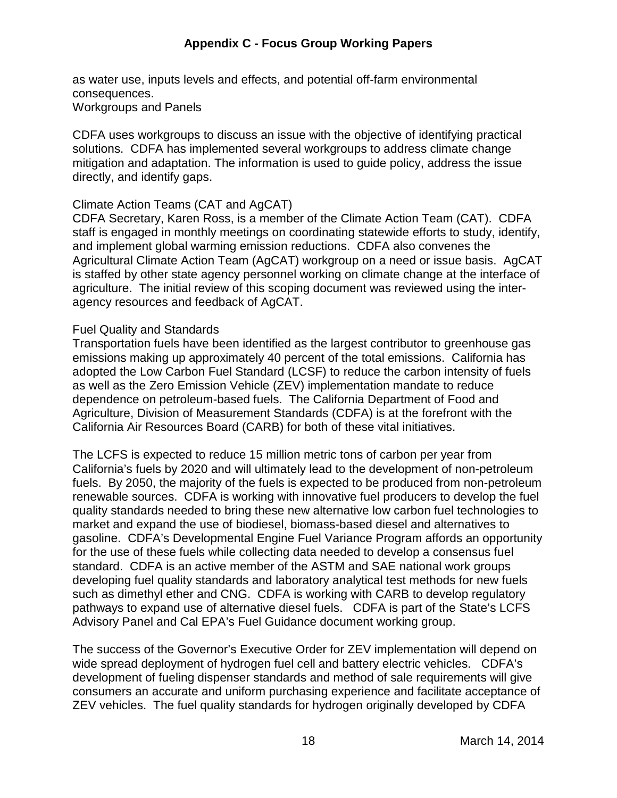as water use, inputs levels and effects, and potential off-farm environmental Workgroups and Panels consequences.

 CDFA uses workgroups to discuss an issue with the objective of identifying practical solutions. CDFA has implemented several workgroups to address climate change mitigation and adaptation. The information is used to guide policy, address the issue directly, and identify gaps.

#### Climate Action Teams (CAT and AgCAT)

 CDFA Secretary, Karen Ross, is a member of the Climate Action Team (CAT). CDFA staff is engaged in monthly meetings on coordinating statewide efforts to study, identify, and implement global warming emission reductions. CDFA also convenes the Agricultural Climate Action Team (AgCAT) workgroup on a need or issue basis. AgCAT is staffed by other state agency personnel working on climate change at the interface of agriculture. The initial review of this scoping document was reviewed using the inter-agency resources and feedback of AgCAT.

#### Fuel Quality and Standards

 Transportation fuels have been identified as the largest contributor to greenhouse gas emissions making up approximately 40 percent of the total emissions. California has adopted the Low Carbon Fuel Standard (LCSF) to reduce the carbon intensity of fuels as well as the Zero Emission Vehicle (ZEV) implementation mandate to reduce dependence on petroleum-based fuels. The California Department of Food and Agriculture, Division of Measurement Standards (CDFA) is at the forefront with the California Air Resources Board (CARB) for both of these vital initiatives.

 The LCFS is expected to reduce 15 million metric tons of carbon per year from California's fuels by 2020 and will ultimately lead to the development of non-petroleum fuels. By 2050, the majority of the fuels is expected to be produced from non-petroleum renewable sources. CDFA is working with innovative fuel producers to develop the fuel quality standards needed to bring these new alternative low carbon fuel technologies to market and expand the use of biodiesel, biomass-based diesel and alternatives to gasoline. CDFA's Developmental Engine Fuel Variance Program affords an opportunity for the use of these fuels while collecting data needed to develop a consensus fuel standard. CDFA is an active member of the ASTM and SAE national work groups developing fuel quality standards and laboratory analytical test methods for new fuels such as dimethyl ether and CNG. CDFA is working with CARB to develop regulatory pathways to expand use of alternative diesel fuels. CDFA is part of the State's LCFS Advisory Panel and Cal EPA's Fuel Guidance document working group.

 The success of the Governor's Executive Order for ZEV implementation will depend on wide spread deployment of hydrogen fuel cell and battery electric vehicles. CDFA's development of fueling dispenser standards and method of sale requirements will give consumers an accurate and uniform purchasing experience and facilitate acceptance of ZEV vehicles. The fuel quality standards for hydrogen originally developed by CDFA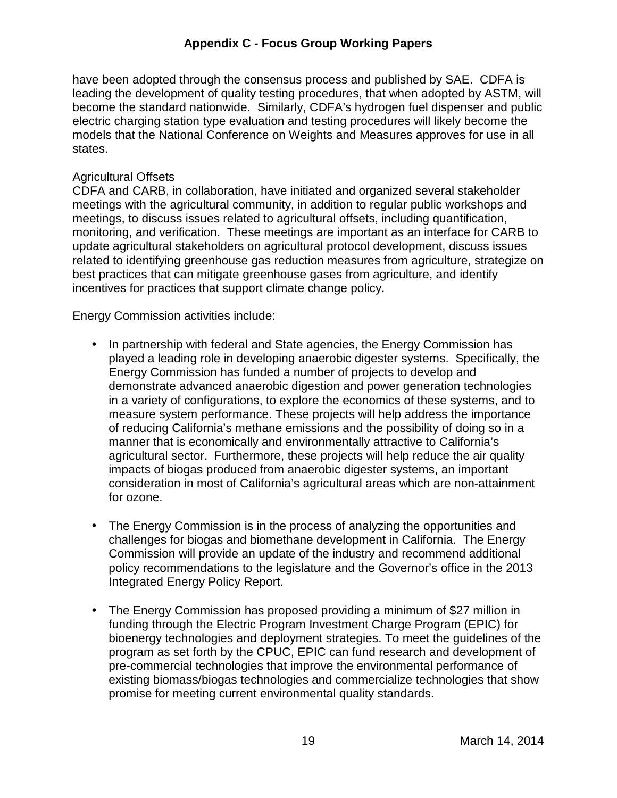have been adopted through the consensus process and published by SAE. CDFA is leading the development of quality testing procedures, that when adopted by ASTM, will become the standard nationwide. Similarly, CDFA's hydrogen fuel dispenser and public electric charging station type evaluation and testing procedures will likely become the models that the National Conference on Weights and Measures approves for use in all states.

#### Agricultural Offsets

 CDFA and CARB, in collaboration, have initiated and organized several stakeholder meetings with the agricultural community, in addition to regular public workshops and meetings, to discuss issues related to agricultural offsets, including quantification, monitoring, and verification. These meetings are important as an interface for CARB to update agricultural stakeholders on agricultural protocol development, discuss issues related to identifying greenhouse gas reduction measures from agriculture, strategize on best practices that can mitigate greenhouse gases from agriculture, and identify incentives for practices that support climate change policy.

Energy Commission activities include:

- • In partnership with federal and State agencies, the Energy Commission has played a leading role in developing anaerobic digester systems. Specifically, the Energy Commission has funded a number of projects to develop and demonstrate advanced anaerobic digestion and power generation technologies in a variety of configurations, to explore the economics of these systems, and to measure system performance. These projects will help address the importance of reducing California's methane emissions and the possibility of doing so in a manner that is economically and environmentally attractive to California's agricultural sector. Furthermore, these projects will help reduce the air quality impacts of biogas produced from anaerobic digester systems, an important consideration in most of California's agricultural areas which are non-attainment for ozone.
- • The Energy Commission is in the process of analyzing the opportunities and challenges for biogas and biomethane development in California. The Energy Commission will provide an update of the industry and recommend additional policy recommendations to the legislature and the Governor's office in the 2013 Integrated Energy Policy Report.
- • The Energy Commission has proposed providing a minimum of \$27 million in funding through the Electric Program Investment Charge Program (EPIC) for bioenergy technologies and deployment strategies. To meet the guidelines of the program as set forth by the CPUC, EPIC can fund research and development of pre-commercial technologies that improve the environmental performance of existing biomass/biogas technologies and commercialize technologies that show promise for meeting current environmental quality standards.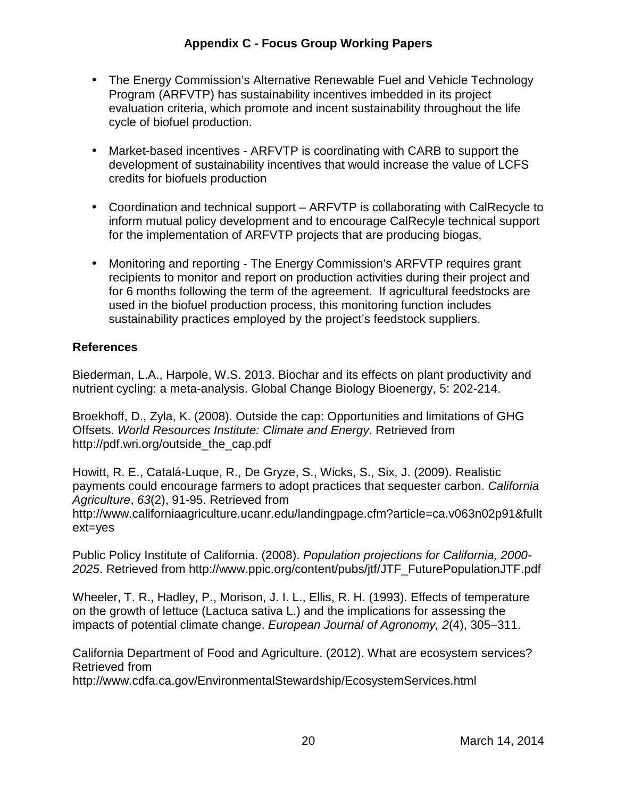- • The Energy Commission's Alternative Renewable Fuel and Vehicle Technology Program (ARFVTP) has sustainability incentives imbedded in its project evaluation criteria, which promote and incent sustainability throughout the life cycle of biofuel production.
- • Market-based incentives ARFVTP is coordinating with CARB to support the development of sustainability incentives that would increase the value of LCFS credits for biofuels production
- • Coordination and technical support ARFVTP is collaborating with CalRecycle to inform mutual policy development and to encourage CalRecyle technical support for the implementation of ARFVTP projects that are producing biogas,
- • Monitoring and reporting The Energy Commission's ARFVTP requires grant recipients to monitor and report on production activities during their project and for 6 months following the term of the agreement. If agricultural feedstocks are used in the biofuel production process, this monitoring function includes sustainability practices employed by the project's feedstock suppliers.

# **References**

 Biederman, L.A., Harpole, W.S. 2013. Biochar and its effects on plant productivity and nutrient cycling: a meta-analysis. Global Change Biology Bioenergy, 5: 202-214.

 Broekhoff, D., Zyla, K. (2008). Outside the cap: Opportunities and limitations of GHG Offsets. World Resources Institute: Climate and Energy. Retrieved from [http://pdf.wri.org/outside\\_the\\_cap.pdf](http://pdf.wri.org/outside_the_cap.pdf) 

 Howitt, R. E., Catalá-Luque, R., De Gryze, S., Wicks, S., Six, J. (2009). Realistic payments could encourage farmers to adopt practices that sequester carbon. California Agriculture, 63(2), 91-95. Retrieved from  $ext = yes$ <http://www.californiaagriculture.ucanr.edu/landingpage.cfm?article=ca.v063n02p91&fullt>

ext=yes<br>Public Policy Institute of California. (2008). *Population projections for California, 2000-*2025. Retrieved from [http://www.ppic.org/content/pubs/jtf/JTF\\_FuturePopulationJTF.pdf](http://www.ppic.org/content/pubs/jtf/JTF_FuturePopulationJTF.pdf) 

 Wheeler, T. R., Hadley, P., Morison, J. I. L., Ellis, R. H. (1993). Effects of temperature on the growth of lettuce (Lactuca sativa L.) and the implications for assessing the impacts of potential climate change. European Journal of Agronomy, 2(4), 305–311.

 California Department of Food and Agriculture. (2012). What are ecosystem services? Retrieved from

<http://www.cdfa.ca.gov/EnvironmentalStewardship/EcosystemServices.html>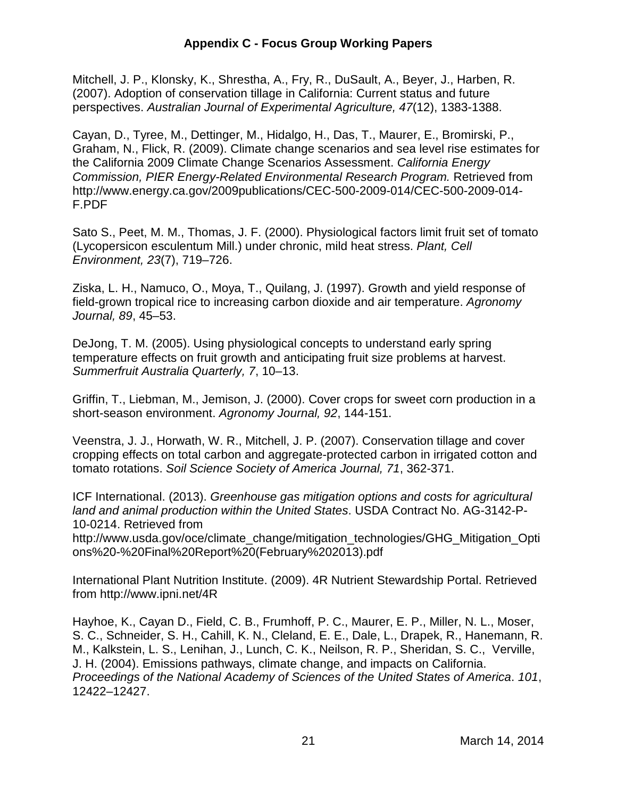Mitchell, J. P., Klonsky, K., Shrestha, A., Fry, R., DuSault, A., Beyer, J., Harben, R. (2007). Adoption of conservation tillage in California: Current status and future perspectives. Australian Journal of Experimental Agriculture, 47(12), 1383-1388.

 Cayan, D., Tyree, M., Dettinger, M., Hidalgo, H., Das, T., Maurer, E., Bromirski, P., Graham, N., Flick, R. (2009). Climate change scenarios and sea level rise estimates for the California 2009 Climate Change Scenarios Assessment. California Energy Commission, PIER Energy-Related Environmental Research Program. Retrieved from <http://www.energy.ca.gov/2009publications/CEC-500-2009-014/CEC-500-2009-014>- F.PDF

 Sato S., Peet, M. M., Thomas, J. F. (2000). Physiological factors limit fruit set of tomato (Lycopersicon esculentum Mill.) under chronic, mild heat stress. Plant, Cell Environment, 23(7), 719–726.

 Ziska, L. H., Namuco, O., Moya, T., Quilang, J. (1997). Growth and yield response of field-grown tropical rice to increasing carbon dioxide and air temperature. Agronomy Journal, 89, 45–53.

 DeJong, T. M. (2005). Using physiological concepts to understand early spring temperature effects on fruit growth and anticipating fruit size problems at harvest. Summerfruit Australia Quarterly, 7, 10–13.

 Griffin, T., Liebman, M., Jemison, J. (2000). Cover crops for sweet corn production in a short-season environment. Agronomy Journal, 92, 144-151.

 Veenstra, J. J., Horwath, W. R., Mitchell, J. P. (2007). Conservation tillage and cover cropping effects on total carbon and aggregate-protected carbon in irrigated cotton and tomato rotations. Soil Science Society of America Journal, 71, 362-371.

 ICF International. (2013). Greenhouse gas mitigation options and costs for agricultural land and animal production within the United States. USDA Contract No. AG-3142-P-10-0214. Retrieved from

http://www.usda.gov/oce/climate change/mitigation technologies/GHG Mitigation Opti ons%20-%20Final%20Report%20(February%202013).pdf

 International Plant Nutrition Institute. (2009). 4R Nutrient Stewardship Portal. Retrieved from<http://www.ipni.net/4R>

 Hayhoe, K., Cayan D., Field, C. B., Frumhoff, P. C., Maurer, E. P., Miller, N. L., Moser, S. C., Schneider, S. H., Cahill, K. N., Cleland, E. E., Dale, L., Drapek, R., Hanemann, R. M., Kalkstein, L. S., Lenihan, J., Lunch, C. K., Neilson, R. P., Sheridan, S. C., Verville, J. H. (2004). Emissions pathways, climate change, and impacts on California. Proceedings of the National Academy of Sciences of the United States of America. 101, 12422–12427.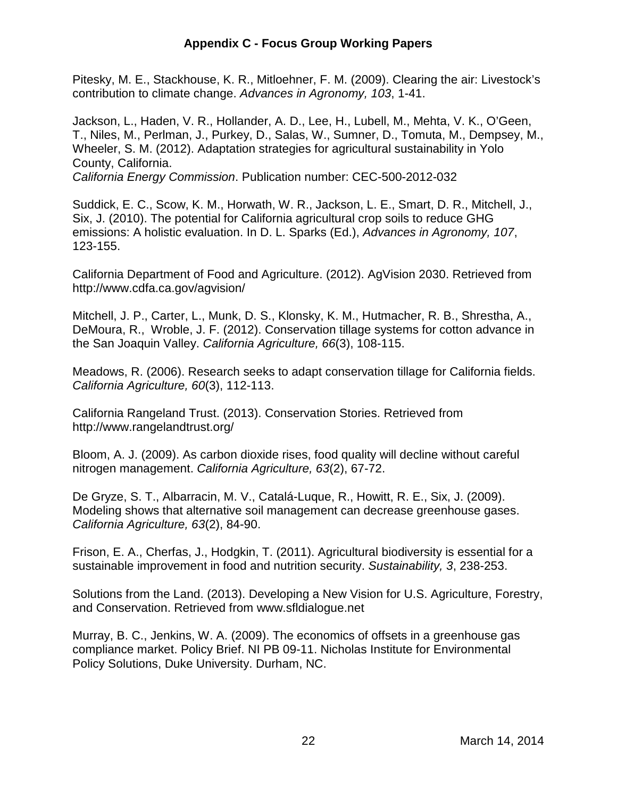Pitesky, M. E., Stackhouse, K. R., Mitloehner, F. M. (2009). Clearing the air: Livestock's contribution to climate change. Advances in Agronomy, 103, 1-41.

 Jackson, L., Haden, V. R., Hollander, A. D., Lee, H., Lubell, M., Mehta, V. K., O'Geen, T., Niles, M., Perlman, J., Purkey, D., Salas, W., Sumner, D., Tomuta, M., Dempsey, M., Wheeler, S. M. (2012). Adaptation strategies for agricultural sustainability in Yolo County, California. California Energy Commission. Publication number: CEC-500-2012-032

 Suddick, E. C., Scow, K. M., Horwath, W. R., Jackson, L. E., Smart, D. R., Mitchell, J., Six, J. (2010). The potential for California agricultural crop soils to reduce GHG emissions: A holistic evaluation. In D. L. Sparks (Ed.), Advances in Agronomy, 107, 123-155.

 California Department of Food and Agriculture. (2012). AgVision 2030. Retrieved from http://www.cdfa.ca.gov/agvision/

<http://www.cdfa.ca.gov/agvision>/<br>Mitchell, J. P., Carter, L., Munk, D. S., Klonsky, K. M., Hutmacher, R. B., Shrestha, A., DeMoura, R., Wroble, J. F. (2012). Conservation tillage systems for cotton advance in the San Joaquin Valley. California Agriculture, 66(3), 108-115.

 Meadows, R. (2006). Research seeks to adapt conservation tillage for California fields. California Agriculture, 60(3), 112-113.

 California Rangeland Trust. (2013). Conservation Stories. Retrieved from http://www.rangelandtrust.org/

[http://www.rangelandtrust.org/](http://www.rangelandtrust.org)<br>Bloom, A. J. (2009). As carbon dioxide rises, food quality will decline without careful nitrogen management. California Agriculture, 63(2), 67-72.

 De Gryze, S. T., Albarracin, M. V., Catalá-Luque, R., Howitt, R. E., Six, J. (2009). Modeling shows that alternative soil management can decrease greenhouse gases. California Agriculture, 63(2), 84-90.

 Frison, E. A., Cherfas, J., Hodgkin, T. (2011). Agricultural biodiversity is essential for a sustainable improvement in food and nutrition security. Sustainability, 3, 238-253.

 Solutions from the Land. (2013). Developing a New Vision for U.S. Agriculture, Forestry, and Conservation. Retrieved from <www.sfldialogue.net>

 Murray, B. C., Jenkins, W. A. (2009). The economics of offsets in a greenhouse gas compliance market. Policy Brief. NI PB 09-11. Nicholas Institute for Environmental Policy Solutions, Duke University. Durham, NC.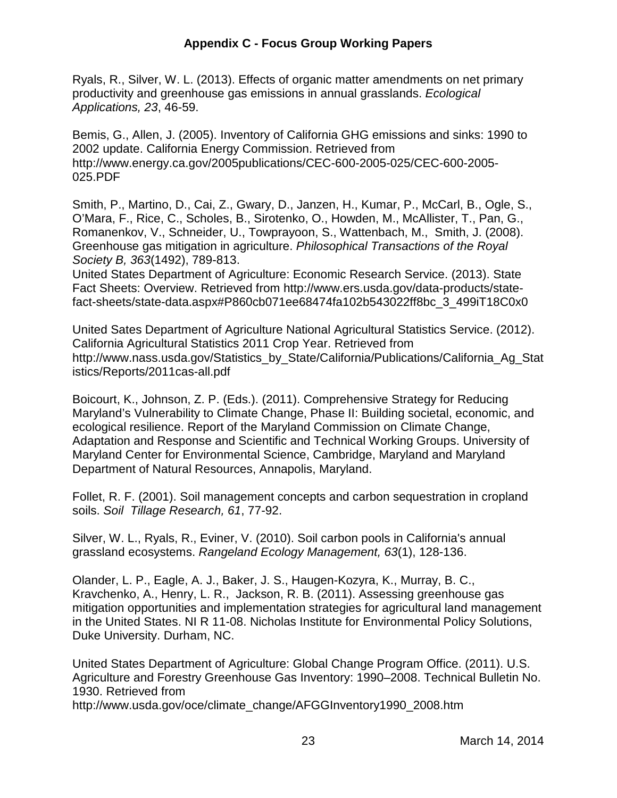Ryals, R., Silver, W. L. (2013). Effects of organic matter amendments on net primary productivity and greenhouse gas emissions in annual grasslands. Ecological Applications, 23, 46-59.

 Bemis, G., Allen, J. (2005). Inventory of California GHG emissions and sinks: 1990 to 2002 update. California Energy Commission. Retrieved from 025.PDF [http://www.energy.ca.gov/2005publications/CEC-600-2005-025/CEC-600-2005-](http://www.energy.ca.gov/2005publications/CEC-600-2005-025/CEC-600-2005)

025.PDF<br>Smith, P., Martino, D., Cai, Z., Gwary, D., Janzen, H., Kumar, P., McCarl, B., Ogle, S., O'Mara, F., Rice, C., Scholes, B., Sirotenko, O., Howden, M., McAllister, T., Pan, G., Romanenkov, V., Schneider, U., Towprayoon, S., Wattenbach, M., Smith, J. (2008). Greenhouse gas mitigation in agriculture. Philosophical Transactions of the Royal Society B, 363(1492), 789-813.

 United States Department of Agriculture: Economic Research Service. (2013). State Fact Sheets: Overview. Retrieved from <http://www.ers.usda.gov/data-products/state>fact-sheets/state-data.aspx#P860cb071ee68474fa102b543022ff8bc\_3\_499iT18C0x0

 United Sates Department of Agriculture National Agricultural Statistics Service. (2012). California Agricultural Statistics 2011 Crop Year. Retrieved from istics/Reports/2011cas-all.pdf [http://www.nass.usda.gov/Statistics\\_by\\_State/California/Publications/California\\_Ag\\_Stat](http://www.nass.usda.gov/Statistics_by_State/California/Publications/California_Ag_Stat) 

istics/Reports/2011cas-all.pdf<br>Boicourt, K., Johnson, Z. P. (Eds.). (2011). Comprehensive Strategy for Reducing Maryland's Vulnerability to Climate Change, Phase II: Building societal, economic, and ecological resilience. Report of the Maryland Commission on Climate Change, Adaptation and Response and Scientific and Technical Working Groups. University of Maryland Center for Environmental Science, Cambridge, Maryland and Maryland Department of Natural Resources, Annapolis, Maryland.

 Follet, R. F. (2001). Soil management concepts and carbon sequestration in cropland soils. Soil Tillage Research, 61, 77-92.

 Silver, W. L., Ryals, R., Eviner, V. (2010). Soil carbon pools in California's annual grassland ecosystems. Rangeland Ecology Management, 63(1), 128-136.

 Olander, L. P., Eagle, A. J., Baker, J. S., Haugen-Kozyra, K., Murray, B. C., Kravchenko, A., Henry, L. R., Jackson, R. B. (2011). Assessing greenhouse gas mitigation opportunities and implementation strategies for agricultural land management in the United States. NI R 11-08. Nicholas Institute for Environmental Policy Solutions, Duke University. Durham, NC.

 United States Department of Agriculture: Global Change Program Office. (2011). U.S. Agriculture and Forestry Greenhouse Gas Inventory: 1990–2008. Technical Bulletin No. 1930. Retrieved from

[http://www.usda.gov/oce/climate\\_change/AFGGInventory1990\\_2008.htm](http://www.usda.gov/oce/climate_change/AFGGInventory1990_2008.htm)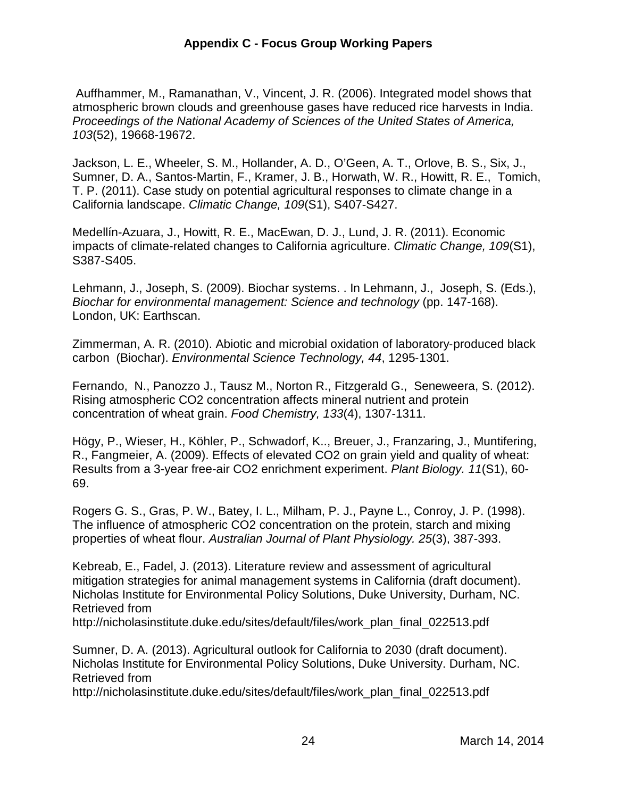Auffhammer, M., Ramanathan, V., Vincent, J. R. (2006). Integrated model shows that atmospheric brown clouds and greenhouse gases have reduced rice harvests in India. Proceedings of the National Academy of Sciences of the United States of America, 103(52), 19668-19672.

 Jackson, L. E., Wheeler, S. M., Hollander, A. D., O'Geen, A. T., Orlove, B. S., Six, J., Sumner, D. A., Santos-Martin, F., Kramer, J. B., Horwath, W. R., Howitt, R. E., Tomich, T. P. (2011). Case study on potential agricultural responses to climate change in a California landscape. Climatic Change, 109(S1), S407-S427.

 Medellín-Azuara, J., Howitt, R. E., MacEwan, D. J., Lund, J. R. (2011). Economic impacts of climate-related changes to California agriculture. Climatic Change, 109(S1), S387-S405.

 Lehmann, J., Joseph, S. (2009). Biochar systems. . In Lehmann, J., Joseph, S. (Eds.), Biochar for environmental management: Science and technology (pp. 147-168). London, UK: Earthscan.

 Zimmerman, A. R. (2010). Abiotic and microbial oxidation of laboratory‐produced black carbon (Biochar). Environmental Science Technology, 44, 1295-1301.

 Fernando, N., Panozzo J., Tausz M., Norton R., Fitzgerald G., Seneweera, S. (2012). Rising atmospheric CO2 concentration affects mineral nutrient and protein concentration of wheat grain. Food Chemistry, 133(4), 1307-1311.

 Högy, P., Wieser, H., Köhler, P., Schwadorf, K.., Breuer, J., Franzaring, J., Muntifering, R., Fangmeier, A. (2009). Effects of elevated CO2 on grain yield and quality of wheat: Results from a 3-year free-air CO2 enrichment experiment. Plant Biology. 11(S1), 60- 69.

69.<br>Rogers G. S., Gras, P. W., Batey, I. L., Milham, P. J., Payne L., Conroy, J. P. (1998). The influence of atmospheric CO2 concentration on the protein, starch and mixing properties of wheat flour. Australian Journal of Plant Physiology. 25(3), 387-393.

 Kebreab, E., Fadel, J. (2013). Literature review and assessment of agricultural mitigation strategies for animal management systems in California (draft document). Nicholas Institute for Environmental Policy Solutions, Duke University, Durham, NC. Retrieved from

[http://nicholasinstitute.duke.edu/sites/default/files/work\\_plan\\_final\\_022513.pdf](http://nicholasinstitute.duke.edu/sites/default/files/work_plan_final_022513.pdf) 

 Sumner, D. A. (2013). Agricultural outlook for California to 2030 (draft document). Nicholas Institute for Environmental Policy Solutions, Duke University. Durham, NC. Retrieved from

[http://nicholasinstitute.duke.edu/sites/default/files/work\\_plan\\_final\\_022513.pdf](http://nicholasinstitute.duke.edu/sites/default/files/work_plan_final_022513.pdf)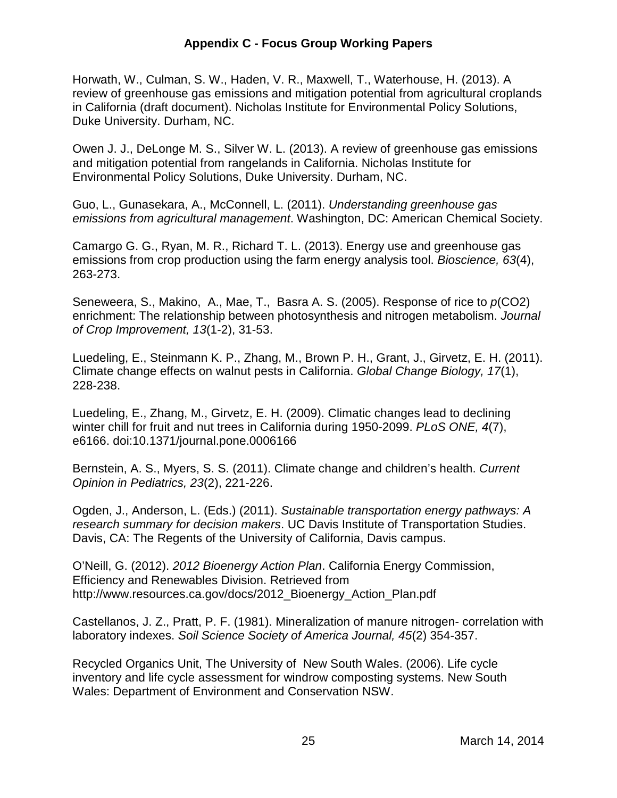Horwath, W., Culman, S. W., Haden, V. R., Maxwell, T., Waterhouse, H. (2013). A review of greenhouse gas emissions and mitigation potential from agricultural croplands in California (draft document). Nicholas Institute for Environmental Policy Solutions, Duke University. Durham, NC.

 Owen J. J., DeLonge M. S., Silver W. L. (2013). A review of greenhouse gas emissions and mitigation potential from rangelands in California. Nicholas Institute for Environmental Policy Solutions, Duke University. Durham, NC.

Guo, L., Gunasekara, A., McConnell, L. (2011). Understanding greenhouse gas emissions from agricultural management. Washington, DC: American Chemical Society.

 Camargo G. G., Ryan, M. R., Richard T. L. (2013). Energy use and greenhouse gas emissions from crop production using the farm energy analysis tool. Bioscience, 63(4), 263-273.

Seneweera, S., Makino, A., Mae, T., Basra A. S. (2005). Response of rice to  $p$ (CO2) enrichment: The relationship between photosynthesis and nitrogen metabolism. Journal of Crop Improvement, 13(1-2), 31-53.

 Luedeling, E., Steinmann K. P., Zhang, M., Brown P. H., Grant, J., Girvetz, E. H. (2011). Climate change effects on walnut pests in California. Global Change Biology, 17(1), 228-238.

228-238.<br>Luedeling, E., Zhang, M., Girvetz, E. H. (2009). Climatic changes lead to declining winter chill for fruit and nut trees in California during 1950-2099. PLoS ONE, 4(7), e6166. doi:10.1371/journal.pone.0006166

Bernstein, A. S., Myers, S. S. (2011). Climate change and children's health. Current Opinion in Pediatrics, 23(2), 221-226.

Ogden, J., Anderson, L. (Eds.) (2011). Sustainable transportation energy pathways: A research summary for decision makers. UC Davis Institute of Transportation Studies. Davis, CA: The Regents of the University of California, Davis campus.

O'Neill, G. (2012). 2012 Bioenergy Action Plan. California Energy Commission, Efficiency and Renewables Division. Retrieved from [http://www.resources.ca.gov/docs/2012\\_Bioenergy\\_Action\\_Plan.pdf](http://www.resources.ca.gov/docs/2012_Bioenergy_Action_Plan.pdf)

 Castellanos, J. Z., Pratt, P. F. (1981). Mineralization of manure nitrogen- correlation with laboratory indexes. Soil Science Society of America Journal, 45(2) 354-357.

 Recycled Organics Unit, The University of New South Wales. (2006). Life cycle inventory and life cycle assessment for windrow composting systems. New South Wales: Department of Environment and Conservation NSW.